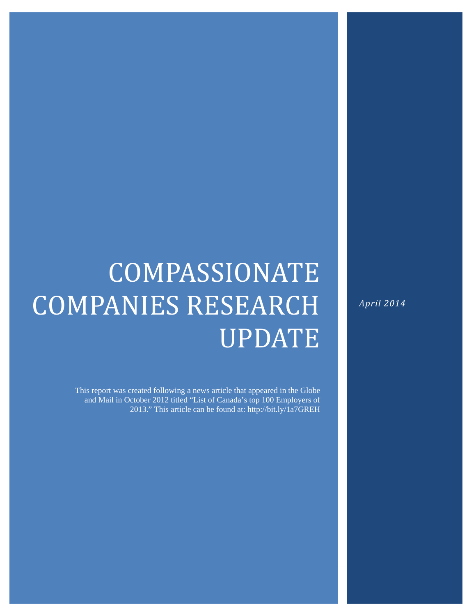# COMPASSIONATE COMPANIES RESEARCH UPDATE

This report was created following a news article that appeared in the Globe and Mail in October 2012 titled "List of Canada's top 100 Employers of 2013." This article can be found at: http://bit.ly/1a7GREH

*April 2014*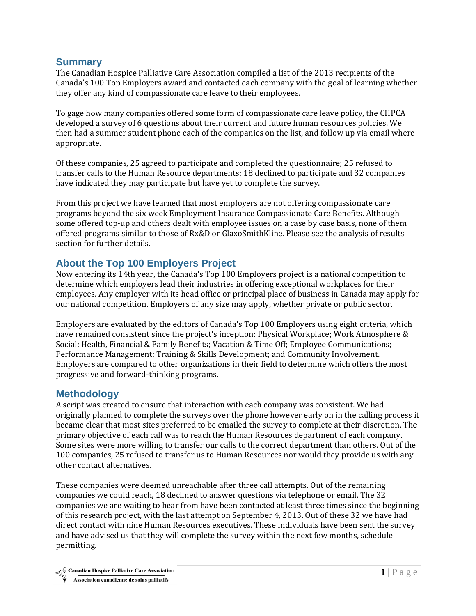#### **Summary**

The Canadian Hospice Palliative Care Association compiled a list of the 2013 recipients of the Canada's 100 Top Employers award and contacted each company with the goal of learning whether they offer any kind of compassionate care leave to their employees.

To gage how many companies offered some form of compassionate care leave policy, the CHPCA developed a survey of 6 questions about their current and future human resources policies. We then had a summer student phone each of the companies on the list, and follow up via email where appropriate. 

Of these companies, 25 agreed to participate and completed the questionnaire; 25 refused to transfer calls to the Human Resource departments; 18 declined to participate and 32 companies have indicated they may participate but have yet to complete the survey.

From this project we have learned that most employers are not offering compassionate care programs beyond the six week Employment Insurance Compassionate Care Benefits. Although some offered top-up and others dealt with employee issues on a case by case basis, none of them offered programs similar to those of Rx&D or GlaxoSmithKline. Please see the analysis of results section for further details.

## **About the Top 100 Employers Project**

Now entering its 14th year, the Canada's Top 100 Employers project is a national competition to determine which employers lead their industries in offering exceptional workplaces for their employees. Any employer with its head office or principal place of business in Canada may apply for our national competition. Employers of any size may apply, whether private or public sector.

Employers are evaluated by the editors of Canada's Top 100 Employers using eight criteria, which have remained consistent since the project's inception: Physical Workplace; Work Atmosphere & Social; Health, Financial & Family Benefits; Vacation & Time Off; Employee Communications; Performance Management; Training & Skills Development; and Community Involvement. Employers are compared to other organizations in their field to determine which offers the most progressive and forward-thinking programs.

### **Methodology**

A script was created to ensure that interaction with each company was consistent. We had originally planned to complete the surveys over the phone however early on in the calling process it became clear that most sites preferred to be emailed the survey to complete at their discretion. The primary objective of each call was to reach the Human Resources department of each company. Some sites were more willing to transfer our calls to the correct department than others. Out of the 100 companies, 25 refused to transfer us to Human Resources nor would they provide us with any other contact alternatives.

These companies were deemed unreachable after three call attempts. Out of the remaining companies we could reach, 18 declined to answer questions via telephone or email. The 32 companies we are waiting to hear from have been contacted at least three times since the beginning of this research project, with the last attempt on September 4, 2013. Out of these 32 we have had direct contact with nine Human Resources executives. These individuals have been sent the survey and have advised us that they will complete the survey within the next few months, schedule permitting.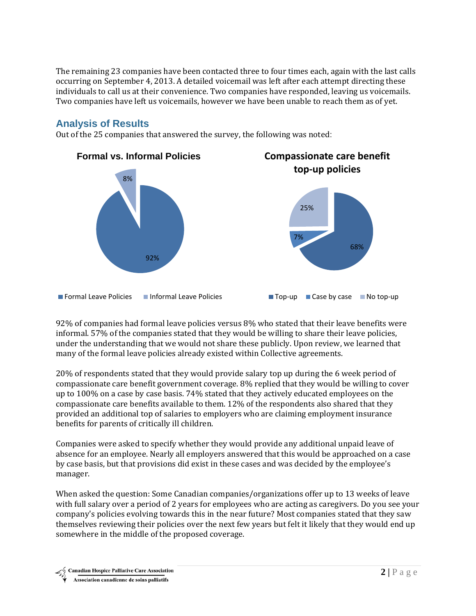The remaining 23 companies have been contacted three to four times each, again with the last calls occurring on September 4, 2013. A detailed voicemail was left after each attempt directing these individuals to call us at their convenience. Two companies have responded, leaving us voicemails. Two companies have left us voicemails, however we have been unable to reach them as of yet.

## **Analysis of Results**

Out of the 25 companies that answered the survey, the following was noted:



92% of companies had formal leave policies versus 8% who stated that their leave benefits were informal. 57% of the companies stated that they would be willing to share their leave policies, under the understanding that we would not share these publicly. Upon review, we learned that many of the formal leave policies already existed within Collective agreements.

20% of respondents stated that they would provide salary top up during the 6 week period of compassionate care benefit government coverage. 8% replied that they would be willing to cover up to  $100\%$  on a case by case basis. 74% stated that they actively educated employees on the compassionate care benefits available to them.  $12\%$  of the respondents also shared that they provided an additional top of salaries to employers who are claiming employment insurance benefits for parents of critically ill children.

Companies were asked to specify whether they would provide any additional unpaid leave of absence for an employee. Nearly all employers answered that this would be approached on a case by case basis, but that provisions did exist in these cases and was decided by the employee's manager. 

When asked the question: Some Canadian companies/organizations offer up to 13 weeks of leave with full salary over a period of 2 years for employees who are acting as caregivers. Do you see your company's policies evolving towards this in the near future? Most companies stated that they saw themselves reviewing their policies over the next few years but felt it likely that they would end up somewhere in the middle of the proposed coverage.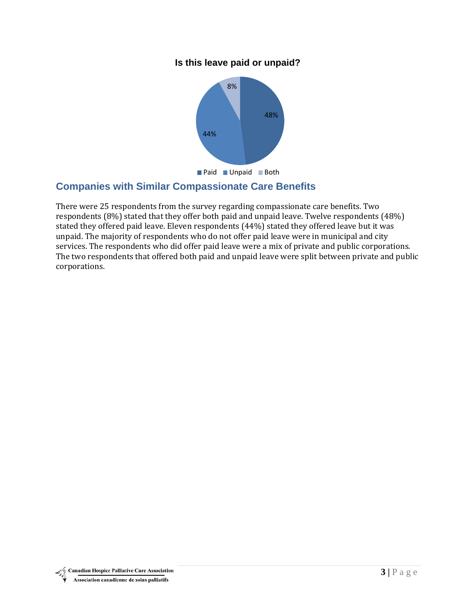#### **Is this leave paid or unpaid?**



## **Companies with Similar Compassionate Care Benefits**

There were 25 respondents from the survey regarding compassionate care benefits. Two respondents  $(8\%)$  stated that they offer both paid and unpaid leave. Twelve respondents  $(48\%)$ stated they offered paid leave. Eleven respondents (44%) stated they offered leave but it was unpaid. The majority of respondents who do not offer paid leave were in municipal and city services. The respondents who did offer paid leave were a mix of private and public corporations. The two respondents that offered both paid and unpaid leave were split between private and public corporations.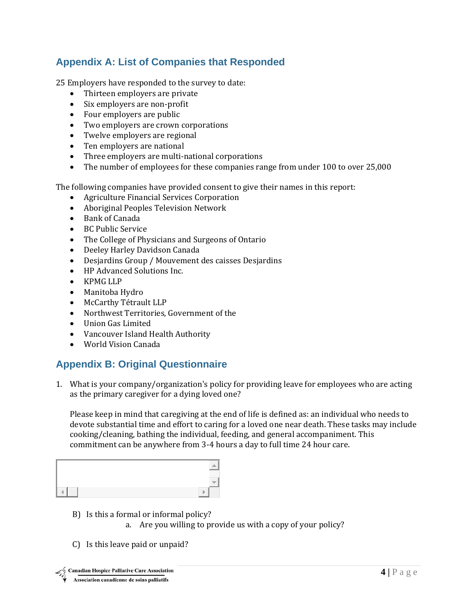# **Appendix A: List of Companies that Responded**

25 Employers have responded to the survey to date:

- Thirteen employers are private
- Six employers are non-profit
- Four employers are public
- Two employers are crown corporations
- Twelve employers are regional
- Ten employers are national
- Three employers are multi-national corporations
- The number of employees for these companies range from under 100 to over 25,000

The following companies have provided consent to give their names in this report:

- Agriculture Financial Services Corporation
- Aboriginal Peoples Television Network
- Bank of Canada
- $\bullet$  BC Public Service
- The College of Physicians and Surgeons of Ontario
- Deeley Harley Davidson Canada
- Desjardins Group / Mouvement des caisses Desjardins
- HP Advanced Solutions Inc.
- KPMG LLP
- Manitoba Hydro
- McCarthy Tétrault LLP
- Northwest Territories, Government of the
- Union Gas Limited
- Vancouver Island Health Authority
- World Vision Canada

# **Appendix B: Original Questionnaire**

1. What is your company/organization's policy for providing leave for employees who are acting as the primary caregiver for a dying loved one?

Please keep in mind that caregiving at the end of life is defined as: an individual who needs to devote substantial time and effort to caring for a loved one near death. These tasks may include cooking/cleaning, bathing the individual, feeding, and general accompaniment. This commitment can be anywhere from 3-4 hours a day to full time 24 hour care.

- B) Is this a formal or informal policy?
	- a. Are you willing to provide us with a copy of your policy?
- C) Is this leave paid or unpaid?